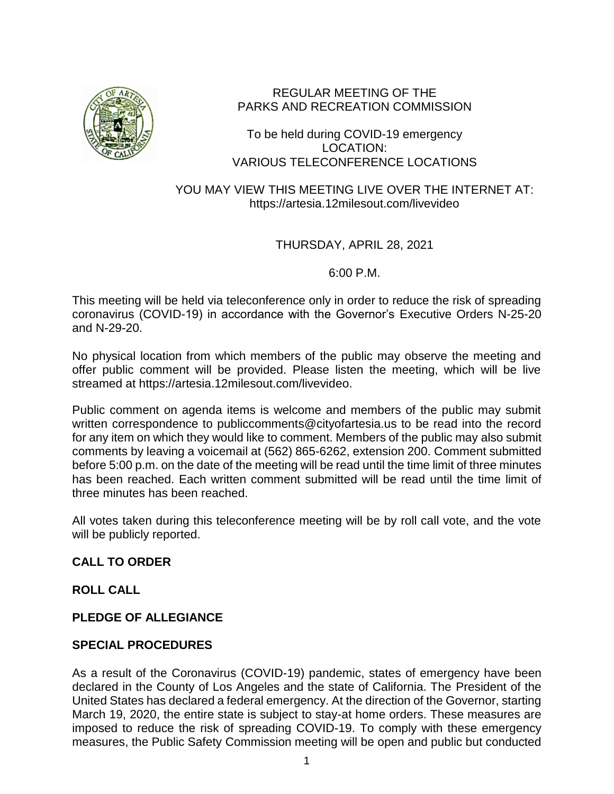

# REGULAR MEETING OF THE PARKS AND RECREATION COMMISSION

### To be held during COVID-19 emergency LOCATION: VARIOUS TELECONFERENCE LOCATIONS

YOU MAY VIEW THIS MEETING LIVE OVER THE INTERNET AT: https://artesia.12milesout.com/livevideo

### THURSDAY, APRIL 28, 2021

6:00 P.M.

This meeting will be held via teleconference only in order to reduce the risk of spreading coronavirus (COVID-19) in accordance with the Governor's Executive Orders N-25-20 and N-29-20.

No physical location from which members of the public may observe the meeting and offer public comment will be provided. Please listen the meeting, which will be live streamed at https://artesia.12milesout.com/livevideo.

Public comment on agenda items is welcome and members of the public may submit written correspondence to publiccomments@cityofartesia.us to be read into the record for any item on which they would like to comment. Members of the public may also submit comments by leaving a voicemail at (562) 865-6262, extension 200. Comment submitted before 5:00 p.m. on the date of the meeting will be read until the time limit of three minutes has been reached. Each written comment submitted will be read until the time limit of three minutes has been reached.

All votes taken during this teleconference meeting will be by roll call vote, and the vote will be publicly reported.

# **CALL TO ORDER**

### **ROLL CALL**

# **PLEDGE OF ALLEGIANCE**

### **SPECIAL PROCEDURES**

As a result of the Coronavirus (COVID-19) pandemic, states of emergency have been declared in the County of Los Angeles and the state of California. The President of the United States has declared a federal emergency. At the direction of the Governor, starting March 19, 2020, the entire state is subject to stay-at home orders. These measures are imposed to reduce the risk of spreading COVID-19. To comply with these emergency measures, the Public Safety Commission meeting will be open and public but conducted